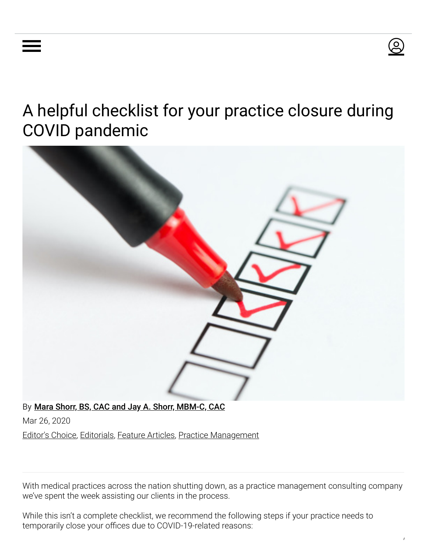# A helpful checklist for your practice closure during COVID pandemic



Mar 26, 2020

[Editor's Choice,](https://www.aestheticchannel.com/editors-choice) [Editorials,](https://www.aestheticchannel.com/editorials) [Feature Articles](https://www.aestheticchannel.com/feature-articles), [Practice Management](https://www.aestheticchannel.com/practice-management)

With medical practices across the nation shutting down, as a practice management consulting company we've spent the week assisting our clients in the process.

While this isn't a complete checklist, we recommend the following steps if your practice needs to temporarily close your offices due to COVID-19-related reasons:

လ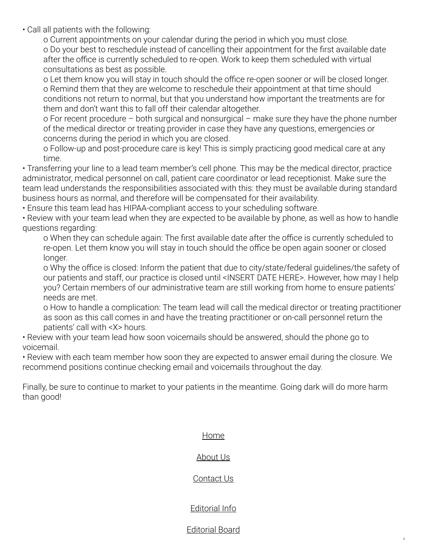• Call all patients with the following:

o Current appointments on your calendar during the period in which you must close. o Do your best to reschedule instead of cancelling their appointment for the first available date after the office is currently scheduled to re-open. Work to keep them scheduled with virtual consultations as best as possible.

o Let them know you will stay in touch should the office re-open sooner or will be closed longer. o Remind them that they are welcome to reschedule their appointment at that time should conditions not return to normal, but that you understand how important the treatments are for them and don't want this to fall off their calendar altogether.

o For recent procedure – both surgical and nonsurgical – make sure they have the phone number of the medical director or treating provider in case they have any questions, emergencies or concerns during the period in which you are closed.

o Follow-up and post-procedure care is key! This is simply practicing good medical care at any time.

• Transferring your line to a lead team member's cell phone. This may be the medical director, practice administrator, medical personnel on call, patient care coordinator or lead receptionist. Make sure the team lead understands the responsibilities associated with this: they must be available during standard business hours as normal, and therefore will be compensated for their availability.

• Ensure this team lead has HIPAA-compliant access to your scheduling software.

• Review with your team lead when they are expected to be available by phone, as well as how to handle questions regarding:

o When they can schedule again: The first available date after the office is currently scheduled to re-open. Let them know you will stay in touch should the office be open again sooner or closed longer.

o Why the office is closed: Inform the patient that due to city/state/federal quidelines/the safety of our patients and staff, our practice is closed until <INSERT DATE HERE>. However, how may I help you? Certain members of our administrative team are still working from home to ensure patients' needs are met.

o How to handle a complication: The team lead will call the medical director or treating practitioner as soon as this call comes in and have the treating practitioner or on-call personnel return the patients' call with <X> hours.

• Review with your team lead how soon voicemails should be answered, should the phone go to voicemail.

• Review with each team member how soon they are expected to answer email during the closure. We recommend positions continue checking email and voicemails throughout the day.

Finally, be sure to continue to market to your patients in the meantime. Going dark will do more harm than good!

#### [Home](https://www.aestheticchannel.com/)

#### [About Us](https://www.aestheticshow.com/en/about-us.html)

### [Contact Us](https://www.aestheticchannel.com/contact-us)

## [Editorial Info](https://www.aestheticchannel.com/basic-page/editorial-info)

### [Editorial Board](https://www.aestheticchannel.com/editorial-board)

/